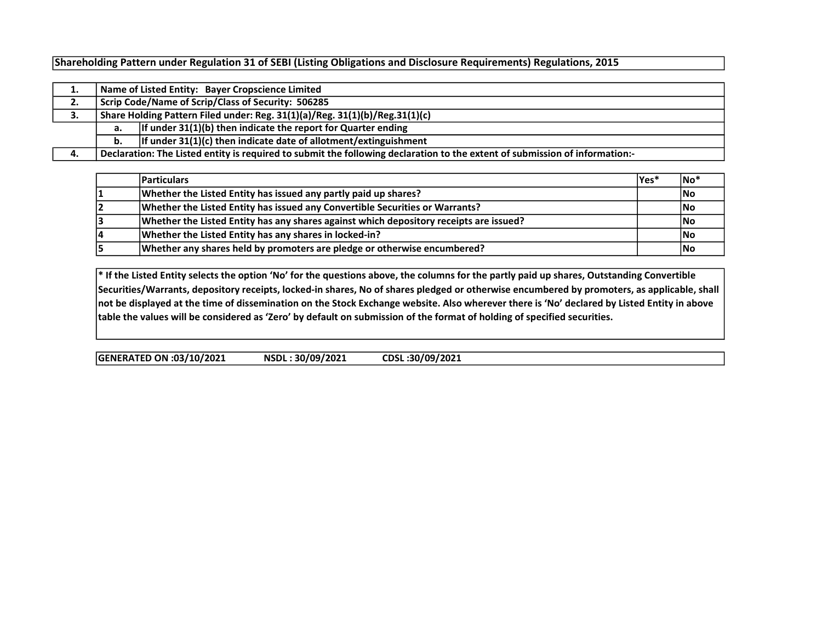Shareholding Pattern under Regulation 31 of SEBI (Listing Obligations and Disclosure Requirements) Regulations, 2015

| . . | Name of Listed Entity: Bayer Cropscience Limited                                                                            |                                                                    |  |  |  |  |  |  |  |  |
|-----|-----------------------------------------------------------------------------------------------------------------------------|--------------------------------------------------------------------|--|--|--|--|--|--|--|--|
| 2.  | Scrip Code/Name of Scrip/Class of Security: 506285                                                                          |                                                                    |  |  |  |  |  |  |  |  |
| з.  | Share Holding Pattern Filed under: Reg. 31(1)(a)/Reg. 31(1)(b)/Reg.31(1)(c)                                                 |                                                                    |  |  |  |  |  |  |  |  |
|     | а.                                                                                                                          | If under $31(1)(b)$ then indicate the report for Quarter ending    |  |  |  |  |  |  |  |  |
|     | b.                                                                                                                          | If under $31(1)(c)$ then indicate date of allotment/extinguishment |  |  |  |  |  |  |  |  |
| 4.  | Declaration: The Listed entity is required to submit the following declaration to the extent of submission of information:- |                                                                    |  |  |  |  |  |  |  |  |

|    | <b>Particulars</b>                                                                     | lYes* | ∣No*       |
|----|----------------------------------------------------------------------------------------|-------|------------|
|    | Whether the Listed Entity has issued any partly paid up shares?                        |       | lNo        |
|    | Whether the Listed Entity has issued any Convertible Securities or Warrants?           |       | lNo        |
|    | Whether the Listed Entity has any shares against which depository receipts are issued? |       | lNo        |
| 14 | Whether the Listed Entity has any shares in locked-in?                                 |       | <b>INo</b> |
|    | Whether any shares held by promoters are pledge or otherwise encumbered?               |       | No         |

\* If the Listed Entity selects the option 'No' for the questions above, the columns for the partly paid up shares, Outstanding Convertible Securities/Warrants, depository receipts, locked-in shares, No of shares pledged or otherwise encumbered by promoters, as applicable, shall not be displayed at the time of dissemination on the Stock Exchange website. Also wherever there is 'No' declared by Listed Entity in above table the values will be considered as 'Zero' by default on submission of the format of holding of specified securities.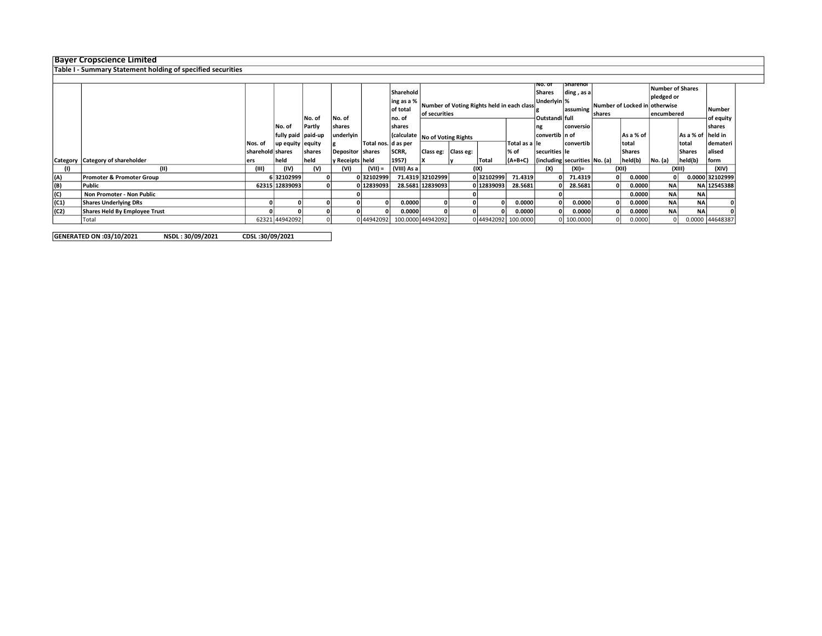## Bayer Cropscience Limited

Table I - Summary Statement holding of specified securities

|      |                                  |                  |                      | No. of  | No. of           |                     | Sharehold<br>ing as a %<br>of total<br>no. of | Number of Voting Rights held in each class<br>of securities |           |                     | ino. ot<br><b>Shares</b><br>Underlyin %<br>Outstandilfull | <b>Sharehor</b><br> diag, as a <br>assuming | shares                          | Number of Locked in otherwise |               | <b>Number of Shares</b><br>pledged or<br>lencumbered |                 |                 |
|------|----------------------------------|------------------|----------------------|---------|------------------|---------------------|-----------------------------------------------|-------------------------------------------------------------|-----------|---------------------|-----------------------------------------------------------|---------------------------------------------|---------------------------------|-------------------------------|---------------|------------------------------------------------------|-----------------|-----------------|
|      |                                  |                  | ∣No. of              | Partly  | shares           |                     | <b>shares</b>                                 |                                                             |           |                     | ng                                                        | conversio                                   |                                 |                               |               |                                                      | shares          |                 |
|      |                                  |                  | fully paid   paid-up |         | underlyin        |                     |                                               | (calculate   No of Voting Rights                            |           |                     | convertib   n of                                          |                                             |                                 | As a % of                     |               | As a % of held in                                    |                 |                 |
|      |                                  | Nos. of          | up equity equity     |         |                  | Total nos. d as per |                                               |                                                             |           |                     | Total as a lle                                            |                                             | l convertib                     |                               | total         |                                                      | total           | demateri        |
|      |                                  | sharehold shares |                      | Ishares | Depositor shares |                     | SCRR,                                         | Class eg:                                                   | Class eg: |                     | % of                                                      | securities lle                              |                                 |                               | <b>Shares</b> |                                                      | Shares          | alised          |
|      | Category Category of shareholder | ers              | held                 | held    | y Receipts held  |                     | 1957)                                         |                                                             |           | <b>Total</b>        | $(A+B+C)$                                                 |                                             | (including securities   No. (a) |                               | held(b)       | No. (a)                                              | held(b)         | form            |
|      | (II)                             | (III)            | (IV)                 | (V)     | (VI)             | $(VII) =$           | (VIII) As a                                   | (IX)                                                        |           |                     |                                                           | (XI)=                                       | (XII)                           |                               |               | (XIII)                                               | (XIV)           |                 |
| (A)  | Promoter & Promoter Group        |                  | 6 32102999           |         |                  | 032102999           |                                               | 71.4319 32102999                                            |           | 032102999           | 71.4319                                                   |                                             | 71.4319                         |                               | 0.0000        |                                                      |                 | 0.0000 32102999 |
| (B)  | Public                           |                  | 62315 12839093       |         |                  | 0 12839093          |                                               | 28.5681 12839093                                            |           | 012839093           | 28.5681                                                   |                                             | 28.5681                         |                               | 0.0000        | <b>NA</b>                                            |                 | NA 12545388     |
| (C)  | Non Promoter - Non Public        |                  |                      |         |                  |                     |                                               |                                                             |           |                     |                                                           |                                             |                                 |                               | 0.0000        | <b>NA</b>                                            | NA <sub>i</sub> |                 |
| (C1) | <b>Shares Underlying DRs</b>     |                  |                      |         |                  |                     | 0.0000                                        |                                                             |           |                     | 0.0000                                                    |                                             | 0.0000                          |                               | 0.0000        | <b>NA</b>                                            | <b>NA</b>       |                 |
| (C2) | Shares Held By Employee Trust    |                  |                      |         |                  |                     | 0.0000                                        |                                                             |           |                     | 0.0000                                                    |                                             | 0.0000                          |                               | 0.0000        | <b>NA</b>                                            | <b>NA</b>       |                 |
|      | Total                            |                  | 62321 44942092       |         |                  | 0 44942092          | 100.0000 44942092                             |                                                             |           | 0 44942092 100.0000 |                                                           |                                             | 100.0000                        |                               | 0.0000        |                                                      |                 | 0.0000 44648387 |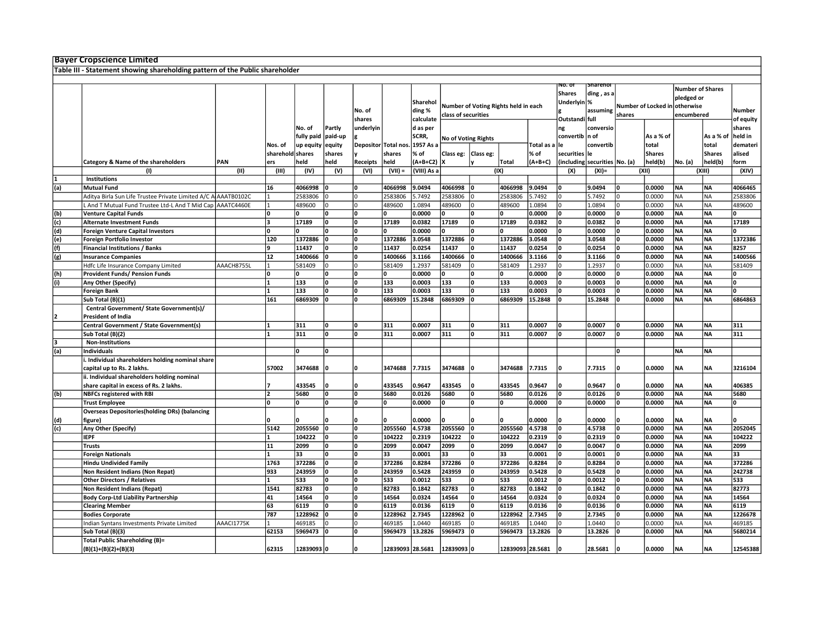|     | <b>Bayer Cropscience Limited</b>                                             |            |                          |              |              |                         |                  |             |                            |                                      |                  |            |                  |                               |        |                     |                         |               |           |
|-----|------------------------------------------------------------------------------|------------|--------------------------|--------------|--------------|-------------------------|------------------|-------------|----------------------------|--------------------------------------|------------------|------------|------------------|-------------------------------|--------|---------------------|-------------------------|---------------|-----------|
|     | Table III - Statement showing shareholding pattern of the Public shareholder |            |                          |              |              |                         |                  |             |                            |                                      |                  |            |                  |                               |        |                     |                         |               |           |
|     |                                                                              |            |                          |              |              |                         |                  |             |                            |                                      |                  |            |                  |                               |        |                     |                         |               |           |
|     |                                                                              |            |                          |              |              |                         |                  |             |                            |                                      |                  |            | NO. OT           | snareno                       |        |                     |                         |               |           |
|     |                                                                              |            |                          |              |              |                         |                  |             |                            |                                      |                  |            | <b>Shares</b>    | ding, as a                    |        |                     | <b>Number of Shares</b> |               |           |
|     |                                                                              |            |                          |              |              |                         |                  | Sharehol    |                            |                                      |                  |            | Underlyin %      |                               |        |                     | pledged or              |               |           |
|     |                                                                              |            |                          |              |              | No. of                  |                  | ding %      |                            | Number of Voting Rights held in each |                  |            |                  | assuming                      |        | Number of Locked in | otherwise               |               | Number    |
|     |                                                                              |            |                          |              |              | shares                  |                  |             | class of securities        |                                      |                  |            | Outstandi full   |                               | shares |                     | encumbered              |               |           |
|     |                                                                              |            |                          |              |              |                         |                  | calculate   |                            |                                      |                  |            |                  |                               |        |                     |                         |               | of equity |
|     |                                                                              |            |                          | No. of       | Partly       | underlyin               |                  | d as per    |                            |                                      |                  |            | ng               | conversio                     |        |                     |                         |               | shares    |
|     |                                                                              |            |                          | fully paid   | paid-up      |                         |                  | SCRR,       | <b>No of Voting Rights</b> |                                      |                  |            | convertib   n of |                               |        | As a % of           |                         | As a % of     | held in   |
|     |                                                                              |            | Nos. of                  | up equity    | equity       | Depositor Total no:     |                  | 1957 As a   |                            |                                      |                  | Total as a | le               | convertib                     |        | total               |                         | total         | demateri  |
|     |                                                                              |            | sharehold shares         |              | shares       |                         | shares           | % of        | Class eg:   Class eg:      |                                      |                  | % of       | securities le    |                               |        | <b>Shares</b>       |                         | <b>Shares</b> | alised    |
|     | Category & Name of the shareholders                                          | PAN        | ers                      | held         | held         | Receipts                | held             | (A+B+C2)    |                            |                                      | <b>Total</b>     | $(A+B+C)$  |                  | (including securities No. (a) |        | held(b)             | No. (a)                 | held(b)       | form      |
|     | (1)                                                                          | (II)       | (III)                    | (IV)         | (V)          | (VI)                    | $(VII) =$        | (VIII) As a |                            |                                      | (IX)             |            | (X)              | $(XI) =$                      |        | (XII)               |                         | (XIII)        | (XIV)     |
|     | Institutions                                                                 |            |                          |              |              |                         |                  |             |                            |                                      |                  |            |                  |                               |        |                     |                         |               |           |
|     |                                                                              |            |                          |              |              | 0                       |                  |             |                            |                                      |                  |            |                  |                               |        |                     |                         |               |           |
| (a) | <b>Mutual Fund</b>                                                           |            | 16                       | 4066998      |              |                         | 4066998          | 9.0494      | 4066998                    | ١o                                   | 4066998          | 9.0494     | 0                | 9.0494                        |        | 0.0000              | <b>NA</b>               | <b>NA</b>     | 4066465   |
|     | Aditya Birla Sun Life Trustee Private Limited A/C A AAATB0102C               |            |                          | 2583806      |              | $\Omega$                | 2583806          | 5.7492      | 2583806                    | I٥                                   | 2583806          | 5.7492     | $\Omega$         | 5.7492                        |        | 0.0000              | <b>NA</b>               | <b>NA</b>     | 2583806   |
|     | And T Mutual Fund Trustee Ltd-L And T Mid Cap AAATC4460E                     |            |                          | 489600       |              | O                       | 489600           | 1.0894      | 489600                     | I٥                                   | 489600           | 1.0894     | $\Omega$         | 1.0894                        |        | 0.0000              | <b>NA</b>               | NA            | 489600    |
| (b) | <b>Venture Capital Funds</b>                                                 |            | ١o                       | $\Omega$     | <b>n</b>     | O                       | I٥               | 0.0000      | 0                          | ١o                                   | n                | 0.0000     | l٥               | 0.0000                        | O      | 0.0000              | <b>NA</b>               | <b>NA</b>     | n.        |
| (c) | <b>Alternate Investment Funds</b>                                            |            | l٦                       | 17189        | n            | $\overline{0}$          | 17189            | 0.0382      | 17189                      | ١o                                   | 17189            | 0.0382     | <sup>0</sup>     | 0.0382                        |        | 0.0000              | <b>NA</b>               | <b>NA</b>     | 17189     |
| (d) | <b>Foreign Venture Capital Investors</b>                                     |            | ١n                       |              |              | 0                       | I٥               | 0.0000      |                            | ١o                                   |                  | 0.0000     | n                | 0.0000                        |        | 0.0000              | NΑ                      | NA            | U         |
| (e) | Foreign Portfolio Investor                                                   |            | 120                      | 1372886      | $\mathbf 0$  | $\overline{\mathbf{0}}$ | 1372886          | 3.0548      | 1372886                    | lo                                   | 1372886          | 3.0548     | O                | 3.0548                        | O      | 0.0000              | <b>NA</b>               | <b>NA</b>     | 1372386   |
|     | <b>Financial Institutions / Banks</b>                                        |            | q                        | 11437        |              | $\Omega$                | 11437            | 0.0254      | 11437                      | ١o                                   | 11437            | 0.0254     | n                | 0.0254                        |        | 0.0000              | <b>NA</b>               | <b>NA</b>     | 8257      |
| (f) |                                                                              |            |                          |              |              |                         |                  |             |                            |                                      |                  |            |                  |                               |        |                     |                         |               |           |
| (g) | <b>Insurance Companies</b>                                                   |            | 12                       | 1400666      |              | 0                       | 1400666          | 3.1166      | 1400666                    | lo                                   | 1400666          | 3.1166     | I٥               | 3.1166                        |        | 0.0000              | <b>NA</b>               | <b>NA</b>     | 1400566   |
|     | Hdfc Life Insurance Company Limited                                          | AAACH8755L |                          | 581409       |              | $\Omega$                | 581409           | 1.2937      | 581409                     | l٥                                   | 581409           | 1.2937     | $\Omega$         | 1.2937                        |        | 0.0000              | <b>NA</b>               | NA            | 581409    |
| (h) | <b>Provident Funds/ Pension Funds</b>                                        |            | ١n                       |              |              | $\Omega$                | I٥               | 0.0000      | U                          | 10                                   |                  | 0.0000     | n                | 0.0000                        |        | 0.0000              | <b>NA</b>               | <b>NA</b>     |           |
| (i) | Any Other (Specify)                                                          |            | $\overline{1}$           | 133          | O            | O                       | 133              | 0.0003      | 133                        | ١o                                   | 133              | 0.0003     | 0                | 0.0003                        |        | 0.0000              | <b>NA</b>               | <b>NA</b>     | 0         |
|     | <b>Foreign Bank</b>                                                          |            |                          | 133          | $\Omega$     | 0                       | 133              | 0.0003      | 133                        | l٥                                   | 133              | 0.0003     |                  | 0.0003                        |        | 0.0000              | <b>NA</b>               | <b>NA</b>     |           |
|     | Sub Total (B)(1)                                                             |            | 161                      | 6869309      |              | <sup>0</sup>            | 6869309          | 15.2848     | 6869309                    | 10                                   | 6869309          | 15.2848    | O                | 15.2848                       |        | 0.0000              | <b>NA</b>               | <b>NA</b>     | 6864863   |
|     | Central Government/ State Government(s)/                                     |            |                          |              |              |                         |                  |             |                            |                                      |                  |            |                  |                               |        |                     |                         |               |           |
|     | <b>President of India</b>                                                    |            |                          |              |              |                         |                  |             |                            |                                      |                  |            |                  |                               |        |                     |                         |               |           |
|     |                                                                              |            |                          |              |              |                         |                  |             |                            |                                      |                  |            |                  |                               |        |                     |                         |               |           |
|     | Central Government / State Government(s)                                     |            |                          | 311          |              | 0                       | 311              | 0.0007      | 311                        | I٥                                   | 311              | 0.0007     | 0                | 0.0007                        |        | 0.0000              | <b>NA</b>               | <b>NA</b>     | 311       |
|     | Sub Total (B)(2)                                                             |            | 1                        | 311          | l٥           | o                       | 311              | 0.0007      | 311                        | I٥                                   | 311              | 0.0007     | $\Omega$         | 0.0007                        | ۱n     | 0.0000              | <b>NA</b>               | <b>NA</b>     | 311       |
|     | <b>Non-Institutions</b>                                                      |            |                          |              |              |                         |                  |             |                            |                                      |                  |            |                  |                               |        |                     |                         |               |           |
| (a) | <b>Individuals</b>                                                           |            |                          | <sup>0</sup> |              |                         |                  |             |                            |                                      |                  |            |                  |                               |        |                     | <b>NA</b>               | <b>NA</b>     |           |
|     | . Individual shareholders holding nominal share                              |            |                          |              |              |                         |                  |             |                            |                                      |                  |            |                  |                               |        |                     |                         |               |           |
|     | capital up to Rs. 2 lakhs.                                                   |            | 57002                    | 3474688      |              |                         | 3474688          | 7.7315      | 3474688                    |                                      | 3474688          | 7.7315     |                  | 7.7315                        |        | 0.0000              | NA                      | NΑ            | 3216104   |
|     | ii. Individual shareholders holding nominal                                  |            |                          |              |              |                         |                  |             |                            |                                      |                  |            |                  |                               |        |                     |                         |               |           |
|     | share capital in excess of Rs. 2 lakhs.                                      |            |                          | 433545       | 0            | 0                       | 433545           | 0.9647      | 433545                     | ١o                                   | 433545           | 0.9647     | 0                | 0.9647                        | ٥      | 0.0000              | <b>NA</b>               | <b>NA</b>     | 406385    |
| (b) | <b>NBFCs registered with RBI</b>                                             |            | $\overline{\phantom{a}}$ | 5680         |              | $\Omega$                | 5680             | 0.0126      | 5680                       | 10                                   | 5680             | 0.0126     | 0                | 0.0126                        |        | 0.0000              | <b>NA</b>               | <b>NA</b>     | 5680      |
|     |                                                                              |            | ١o                       | <sup>0</sup> | n            | 0                       | I٥               | 0.0000      | O                          | ١o                                   | l٥               | 0.0000     | O                | 0.0000                        | ۱n     | 0.0000              | <b>NA</b>               | <b>NA</b>     | 0         |
|     | <b>Trust Employee</b>                                                        |            |                          |              |              |                         |                  |             |                            |                                      |                  |            |                  |                               |        |                     |                         |               |           |
|     | <b>Overseas Depositories (holding DRs) (balancing</b>                        |            |                          |              |              |                         |                  |             |                            |                                      |                  |            |                  |                               |        |                     |                         |               |           |
| (d) | figure)                                                                      |            | ١n                       |              |              | O                       |                  | 0.0000      |                            | l٨                                   |                  | 0.0000     | n                | 0.0000                        | ۱n     | 0.0000              | NA                      | <b>ΝA</b>     |           |
| (c) | Any Other (Specify)                                                          |            | 5142                     | 2055560      | $\mathbf{0}$ | 0                       | 2055560          | 4.5738      | 2055560                    | ١o                                   | 2055560          | 4.5738     | O                | 4.5738                        | ١o     | 0.0000              | <b>NA</b>               | <b>NA</b>     | 2052045   |
|     | <b>IEPF</b>                                                                  |            |                          | 104222       |              | 0                       | 104222           | 0.2319      | 104222                     | ١o                                   | 104222           | 0.2319     | n                | 0.2319                        |        | 0.0000              | <b>NA</b>               | <b>NA</b>     | 104222    |
|     | <b>Trusts</b>                                                                |            | 11                       | 2099         | O            | 0                       | 2099             | 0.0047      | 2099                       | 10                                   | 2099             | 0.0047     | 0                | 0.0047                        |        | 0.0000              | <b>NA</b>               | <b>NA</b>     | 2099      |
|     | <b>Foreign Nationals</b>                                                     |            |                          | 33           |              | 0                       | 33               | 0.0001      | 33                         | ١o                                   | 33               | 0.0001     | I٥               | 0.0001                        |        | 0.0000              | <b>NA</b>               | <b>NA</b>     | 33        |
|     | <b>Hindu Undivided Family</b>                                                |            | 1763                     | 372286       |              | <sup>0</sup>            | 372286           | 0.8284      | 372286                     | ١o                                   | 372286           | 0.8284     | <b>n</b>         | 0.8284                        |        | 0.0000              | <b>NA</b>               | <b>NA</b>     | 372286    |
|     | Non Resident Indians (Non Repat)                                             |            | 933                      | 243959       |              | 0                       | 243959           | 0.5428      | 243959                     | ١o                                   | 243959           | 0.5428     | 0                | 0.5428                        |        | 0.0000              | <b>NA</b>               | <b>NA</b>     | 242738    |
|     |                                                                              |            |                          |              | O            | ۱o                      | 533              |             | 533                        |                                      | 533              |            | O                |                               |        |                     | <b>NA</b>               | <b>NA</b>     | 533       |
|     | <b>Other Directors / Relatives</b>                                           |            |                          | 533          |              |                         |                  | 0.0012      |                            | ١o                                   |                  | 0.0012     |                  | 0.0012                        |        | 0.0000              |                         |               |           |
|     | Non Resident Indians (Repat)                                                 |            | 1541                     | 82783        | n            | 0                       | 82783            | 0.1842      | 82783                      | 10                                   | 82783            | 0.1842     | 0                | 0.1842                        |        | 0.0000              | <b>NA</b>               | <b>NA</b>     | 82773     |
|     | <b>Body Corp-Ltd Liability Partnership</b>                                   |            | 41                       | 14564        | <b>n</b>     | 0                       | 14564            | 0.0324      | 14564                      | I٥                                   | 14564            | 0.0324     | O                | 0.0324                        |        | 0.0000              | <b>NA</b>               | <b>NA</b>     | 14564     |
|     | <b>Clearing Member</b>                                                       |            | 63                       | 6119         | l٥           | ۱o                      | 6119             | 0.0136      | 6119                       | ١o                                   | 6119             | 0.0136     | I٥               | 0.0136                        |        | 0.0000              | <b>NA</b>               | <b>NA</b>     | 6119      |
|     | <b>Bodies Corporate</b>                                                      |            | 787                      | 1228962      |              | 0                       | 1228962          | 2.7345      | 1228962                    | ١o                                   | 1228962          | 2.7345     | 0                | 2.7345                        |        | 0.0000              | <b>NA</b>               | <b>NA</b>     | 1226678   |
|     | Indian Syntans Investments Private Limited                                   | AAACI1775K |                          | 469185       |              | $\Omega$                | 469185           | 1.0440      | 469185                     |                                      | 469185           | 1.0440     |                  | 1.0440                        |        | 0.0000              | NΑ                      | NA            | 469185    |
|     | Sub Total (B)(3)                                                             |            | 62153                    | 5969473      | n            | O                       | 5969473          | 13.2826     | 5969473                    | 10                                   | 5969473          | 13.2826    | n                | 13.2826                       |        | 0.0000              | <b>NA</b>               | <b>NA</b>     | 5680214   |
|     | <b>Total Public Shareholding (B)=</b>                                        |            |                          |              |              |                         |                  |             |                            |                                      |                  |            |                  |                               |        |                     |                         |               |           |
|     | $(B)(1)+(B)(2)+(B)(3)$                                                       |            | 62315                    | 12839093 0   |              | 0                       | 12839093 28.5681 |             | 12839093 O                 |                                      | 12839093 28.5681 |            |                  | 28.5681                       | ۱n     | 0.0000              | <b>NA</b>               | <b>NA</b>     | 12545388  |
|     |                                                                              |            |                          |              |              |                         |                  |             |                            |                                      |                  |            |                  |                               |        |                     |                         |               |           |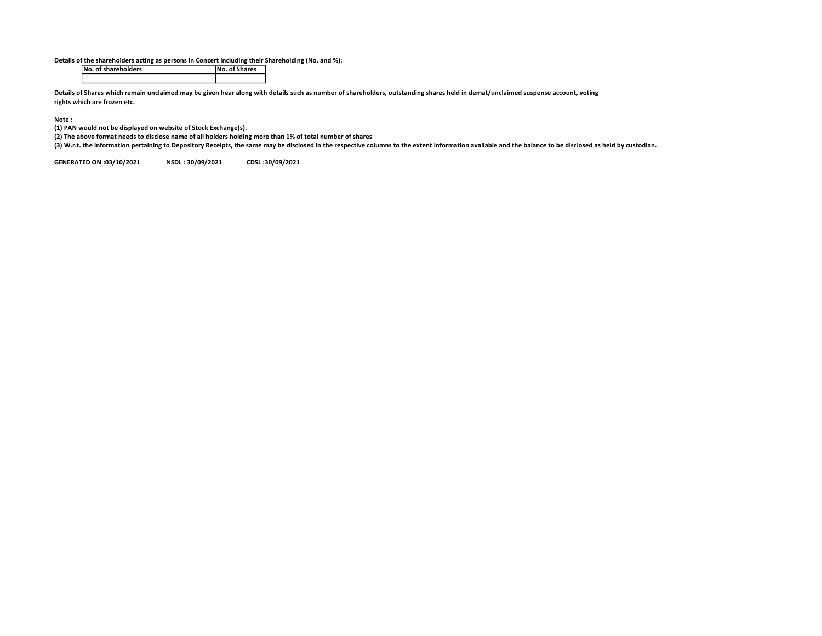Details of the shareholders acting as persons in Concert including their Shareholding (No. and %):

No. of shareholders

Details of Shares which remain unclaimed may be given hear along with details such as number of shareholders, outstanding shares held in demat/unclaimed suspense account, voting rights which are frozen etc.

## Note :

(1) PAN would not be displayed on website of Stock Exchange(s).

(2) The above format needs to disclose name of all holders holding more than 1% of total number of shares

(3) W.r.t. the information pertaining to Depository Receipts, the same may be disclosed in the respective columns to the extent information available and the balance to be disclosed as held by custodian.